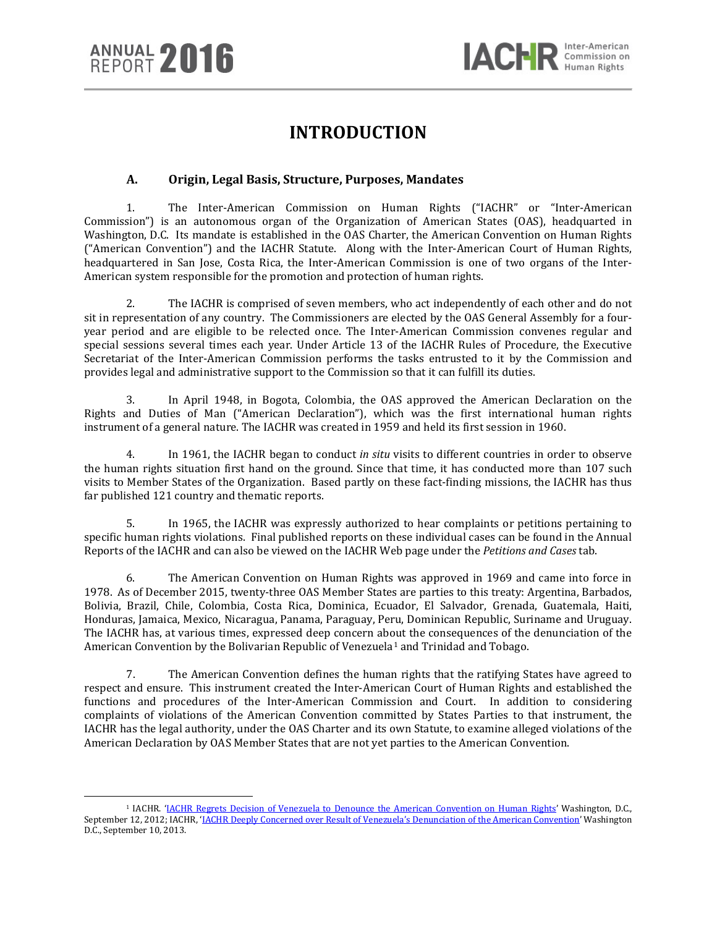$\overline{a}$ 

# **INTRODUCTION**

# **A. Origin, Legal Basis, Structure, Purposes, Mandates**

1. The Inter-American Commission on Human Rights ("IACHR" or "Inter-American Commission") is an autonomous organ of the Organization of American States (OAS), headquarted in Washington, D.C. Its mandate is established in the OAS Charter, the American Convention on Human Rights ("American Convention") and the IACHR Statute. Along with the Inter-American Court of Human Rights, headquartered in San Jose, Costa Rica, the Inter-American Commission is one of two organs of the Inter-American system responsible for the promotion and protection of human rights.

2. The IACHR is comprised of seven members, who act independently of each other and do not sit in representation of any country. The Commissioners are elected by the OAS General Assembly for a fouryear period and are eligible to be relected once. The Inter-American Commission convenes regular and special sessions several times each year. Under Article 13 of the IACHR Rules of Procedure, the Executive Secretariat of the Inter-American Commission performs the tasks entrusted to it by the Commission and provides legal and administrative support to the Commission so that it can fulfill its duties.

3. In April 1948, in Bogota, Colombia, the OAS approved the American Declaration on the Rights and Duties of Man ("American Declaration"), which was the first international human rights instrument of a general nature. The IACHR was created in 1959 and held its first session in 1960.

4. In 1961, the IACHR began to conduct *in situ* visits to different countries in order to observe the human rights situation first hand on the ground. Since that time, it has conducted more than 107 such visits to Member States of the Organization. Based partly on these fact-finding missions, the IACHR has thus far published 121 country and thematic reports.

5. In 1965, the IACHR was expressly authorized to hear complaints or petitions pertaining to specific human rights violations. Final published reports on these individual cases can be found in the Annual Reports of the IACHR and can also be viewed on the IACHR Web page under the *Petitions and Cases* tab.

6. The American Convention on Human Rights was approved in 1969 and came into force in 1978. As of December 2015, twenty-three OAS Member States are parties to this treaty: Argentina, Barbados, Bolivia, Brazil, Chile, Colombia, Costa Rica, Dominica, Ecuador, El Salvador, Grenada, Guatemala, Haiti, Honduras, Jamaica, Mexico, Nicaragua, Panama, Paraguay, Peru, Dominican Republic, Suriname and Uruguay. The IACHR has, at various times, expressed deep concern about the consequences of the denunciation of the American Convention by the Bolivarian Republic of Venezuela<sup>[1](#page-0-0)</sup> and Trinidad and Tobago.

7. The American Convention defines the human rights that the ratifying States have agreed to respect and ensure. This instrument created the Inter-American Court of Human Rights and established the functions and procedures of the Inter-American Commission and Court. In addition to considering complaints of violations of the American Convention committed by States Parties to that instrument, the IACHR has the legal authority, under the OAS Charter and its own Statute, to examine alleged violations of the American Declaration by OAS Member States that are not yet parties to the American Convention.

<span id="page-0-0"></span><sup>1</sup> IACHR. ['IACHR Regrets Decision of Venezuela to Denounce the American Convention on Human Rights'](http://www.oas.org/en/iachr/media_center/PReleases/2012/117.asp) Washington, D.C., September 12, 2012; IACHR, ['IACHR Deeply Concerned over Result of Venezuela's Denunciation of the American Convention'](http://www.oas.org/en/iachr/media_center/PReleases/2013/064.asp) Washington D.C., September 10, 2013.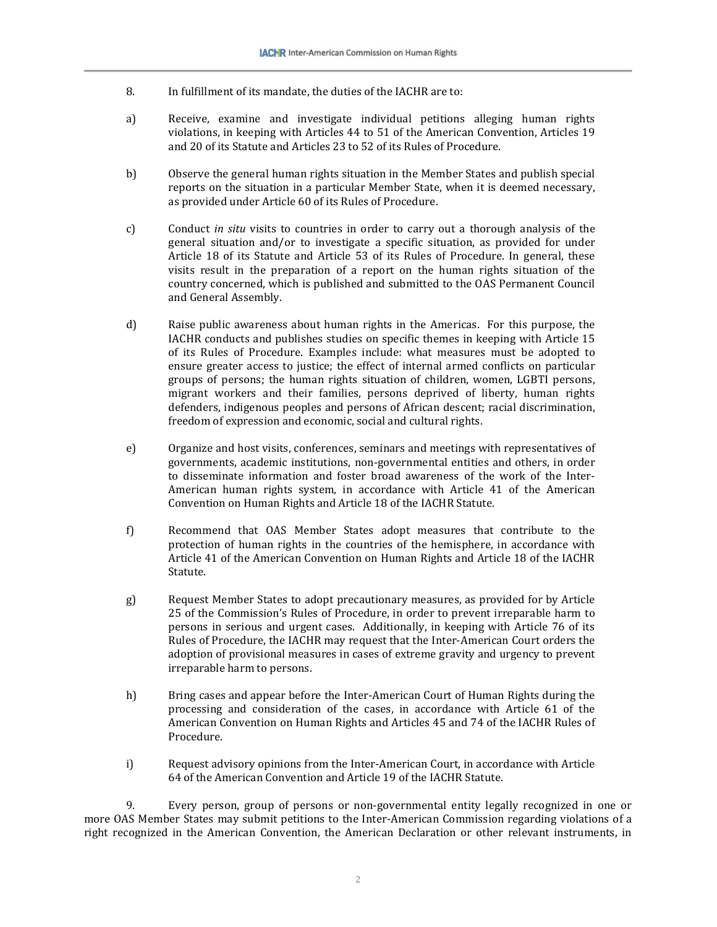- 8. In fulfillment of its mandate, the duties of the IACHR are to:
- a) Receive, examine and investigate individual petitions alleging human rights violations, in keeping with Articles 44 to 51 of the American Convention, Articles 19 and 20 of its Statute and Articles 23 to 52 of its Rules of Procedure.
- b) Observe the general human rights situation in the Member States and publish special reports on the situation in a particular Member State, when it is deemed necessary, as provided under Article 60 of its Rules of Procedure.
- c) Conduct *in situ* visits to countries in order to carry out a thorough analysis of the general situation and/or to investigate a specific situation, as provided for under Article 18 of its Statute and Article 53 of its Rules of Procedure. In general, these visits result in the preparation of a report on the human rights situation of the country concerned, which is published and submitted to the OAS Permanent Council and General Assembly.
- d) Raise public awareness about human rights in the Americas. For this purpose, the IACHR conducts and publishes studies on specific themes in keeping with Article 15 of its Rules of Procedure. Examples include: what measures must be adopted to ensure greater access to justice; the effect of internal armed conflicts on particular groups of persons; the human rights situation of children, women, LGBTI persons, migrant workers and their families, persons deprived of liberty, human rights defenders, indigenous peoples and persons of African descent; racial discrimination, freedom of expression and economic, social and cultural rights.
- e) Organize and host visits, conferences, seminars and meetings with representatives of governments, academic institutions, non-governmental entities and others, in order to disseminate information and foster broad awareness of the work of the Inter-American human rights system, in accordance with Article 41 of the American Convention on Human Rights and Article 18 of the IACHR Statute.
- f) Recommend that OAS Member States adopt measures that contribute to the protection of human rights in the countries of the hemisphere, in accordance with Article 41 of the American Convention on Human Rights and Article 18 of the IACHR Statute.
- g) Request Member States to adopt precautionary measures, as provided for by Article 25 of the Commission's Rules of Procedure, in order to prevent irreparable harm to persons in serious and urgent cases. Additionally, in keeping with Article 76 of its Rules of Procedure, the IACHR may request that the Inter-American Court orders the adoption of provisional measures in cases of extreme gravity and urgency to prevent irreparable harm to persons.
- h) Bring cases and appear before the Inter-American Court of Human Rights during the processing and consideration of the cases, in accordance with Article 61 of the American Convention on Human Rights and Articles 45 and 74 of the IACHR Rules of Procedure.
- i) Request advisory opinions from the Inter-American Court, in accordance with Article 64 of the American Convention and Article 19 of the IACHR Statute.

9. Every person, group of persons or non-governmental entity legally recognized in one or more OAS Member States may submit petitions to the Inter-American Commission regarding violations of a right recognized in the American Convention, the American Declaration or other relevant instruments, in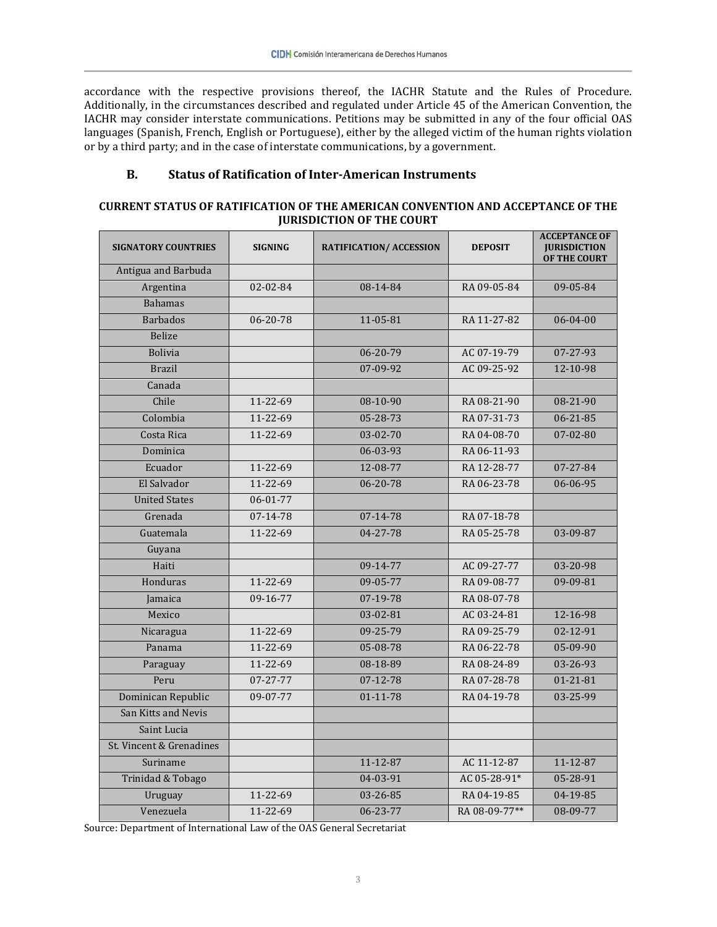accordance with the respective provisions thereof, the IACHR Statute and the Rules of Procedure. Additionally, in the circumstances described and regulated under Article 45 of the American Convention, the IACHR may consider interstate communications. Petitions may be submitted in any of the four official OAS languages (Spanish, French, English or Portuguese), either by the alleged victim of the human rights violation or by a third party; and in the case of interstate communications, by a government.

## **B. Status of Ratification of Inter-American Instruments**

## **CURRENT STATUS OF RATIFICATION OF THE AMERICAN CONVENTION AND ACCEPTANCE OF THE JURISDICTION OF THE COURT**

| <b>SIGNATORY COUNTRIES</b> | <b>SIGNING</b> | <b>RATIFICATION/ ACCESSION</b> | <b>DEPOSIT</b> | <b>ACCEPTANCE OF</b><br><b>JURISDICTION</b><br>OF THE COURT |
|----------------------------|----------------|--------------------------------|----------------|-------------------------------------------------------------|
| Antigua and Barbuda        |                |                                |                |                                                             |
| Argentina                  | 02-02-84       | 08-14-84                       | RA 09-05-84    | 09-05-84                                                    |
| <b>Bahamas</b>             |                |                                |                |                                                             |
| <b>Barbados</b>            | 06-20-78       | $11 - 05 - 81$                 | RA 11-27-82    | $06 - 04 - 00$                                              |
| <b>Belize</b>              |                |                                |                |                                                             |
| <b>Bolivia</b>             |                | 06-20-79                       | AC 07-19-79    | 07-27-93                                                    |
| <b>Brazil</b>              |                | 07-09-92                       | AC 09-25-92    | 12-10-98                                                    |
| Canada                     |                |                                |                |                                                             |
| Chile                      | 11-22-69       | 08-10-90                       | RA 08-21-90    | 08-21-90                                                    |
| Colombia                   | $11 - 22 - 69$ | $05 - 28 - 73$                 | RA 07-31-73    | $06 - 21 - 85$                                              |
| Costa Rica                 | $11 - 22 - 69$ | $03 - 02 - 70$                 | RA 04-08-70    | $07 - 02 - 80$                                              |
| Dominica                   |                | 06-03-93                       | RA 06-11-93    |                                                             |
| Ecuador                    | 11-22-69       | 12-08-77                       | RA 12-28-77    | 07-27-84                                                    |
| El Salvador                | 11-22-69       | 06-20-78                       | RA 06-23-78    | 06-06-95                                                    |
| <b>United States</b>       | 06-01-77       |                                |                |                                                             |
| Grenada                    | 07-14-78       | $07 - 14 - 78$                 | RA 07-18-78    |                                                             |
| Guatemala                  | 11-22-69       | 04-27-78                       | RA 05-25-78    | 03-09-87                                                    |
| Guyana                     |                |                                |                |                                                             |
| Haiti                      |                | 09-14-77                       | AC 09-27-77    | 03-20-98                                                    |
| Honduras                   | 11-22-69       | 09-05-77                       | RA 09-08-77    | 09-09-81                                                    |
| Jamaica                    | 09-16-77       | 07-19-78                       | RA 08-07-78    |                                                             |
| Mexico                     |                | $03 - 02 - 81$                 | AC 03-24-81    | 12-16-98                                                    |
| Nicaragua                  | 11-22-69       | $09 - 25 - 79$                 | RA 09-25-79    | $02 - 12 - 91$                                              |
| Panama                     | $11 - 22 - 69$ | 05-08-78                       | RA 06-22-78    | 05-09-90                                                    |
| Paraguay                   | 11-22-69       | 08-18-89                       | RA 08-24-89    | 03-26-93                                                    |
| Peru                       | 07-27-77       | 07-12-78                       | RA 07-28-78    | $01 - 21 - 81$                                              |
| Dominican Republic         | 09-07-77       | 01-11-78                       | RA 04-19-78    | 03-25-99                                                    |
| San Kitts and Nevis        |                |                                |                |                                                             |
| Saint Lucia                |                |                                |                |                                                             |
| St. Vincent & Grenadines   |                |                                |                |                                                             |
| Suriname                   |                | $11 - 12 - 87$                 | AC 11-12-87    | $11 - 12 - 87$                                              |
| Trinidad & Tobago          |                | $04 - 03 - 91$                 | AC 05-28-91*   | 05-28-91                                                    |
| Uruguay                    | 11-22-69       | 03-26-85                       | RA 04-19-85    | 04-19-85                                                    |
| Venezuela                  | 11-22-69       | 06-23-77                       | RA 08-09-77**  | 08-09-77                                                    |

Source: Department of International Law of the OAS General Secretariat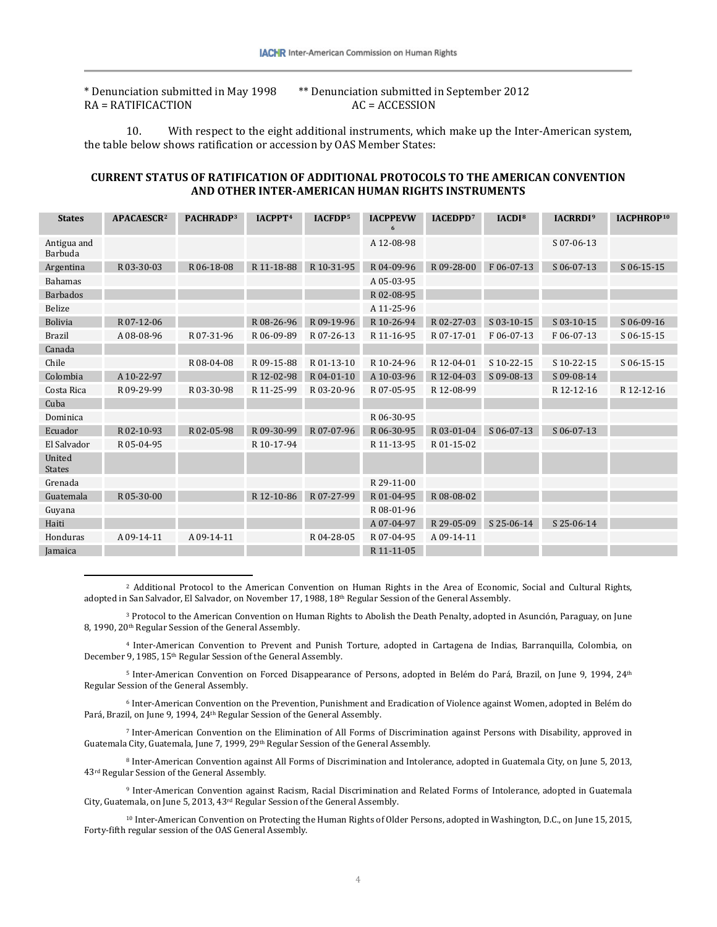$RA = RATIFICACTION$ 

 $\overline{a}$ 

\* Denunciation submitted in May 1998 \*\* Denunciation submitted in September 2012

10. With respect to the eight additional instruments, which make up the Inter-American system, the table below shows ratification or accession by OAS Member States:

#### **CURRENT STATUS OF RATIFICATION OF ADDITIONAL PROTOCOLS TO THE AMERICAN CONVENTION AND OTHER INTER-AMERICAN HUMAN RIGHTS INSTRUMENTS**

| <b>States</b>           | APACAESCR <sup>2</sup> | PACHRADP <sup>3</sup> | IACPPT <sup>4</sup> | IACFDP <sup>5</sup> | <b>IACPPEVW</b><br>6 | IACEDPD <sup>7</sup> | IACDI <sup>8</sup> | <b>IACRRDI</b> <sup>9</sup> | IACPHROP <sup>10</sup> |
|-------------------------|------------------------|-----------------------|---------------------|---------------------|----------------------|----------------------|--------------------|-----------------------------|------------------------|
| Antigua and<br>Barbuda  |                        |                       |                     |                     | A 12-08-98           |                      |                    | S 07-06-13                  |                        |
| Argentina               | R 03-30-03             | R 06-18-08            | R 11-18-88          | R 10-31-95          | R04-09-96            | R 09-28-00           | F06-07-13          | $S$ 06-07-13                | S 06-15-15             |
| <b>Bahamas</b>          |                        |                       |                     |                     | A 05-03-95           |                      |                    |                             |                        |
| <b>Barbados</b>         |                        |                       |                     |                     | R02-08-95            |                      |                    |                             |                        |
| <b>Belize</b>           |                        |                       |                     |                     | A 11-25-96           |                      |                    |                             |                        |
| <b>Bolivia</b>          | R07-12-06              |                       | R 08-26-96          | R09-19-96           | R 10-26-94           | R 02-27-03           | S 03-10-15         | S 03-10-15                  | $S$ 06-09-16           |
| <b>Brazil</b>           | A 08-08-96             | R07-31-96             | R 06-09-89          | R07-26-13           | R 11-16-95           | R07-17-01            | F06-07-13          | F06-07-13                   | $S$ 06-15-15           |
| Canada                  |                        |                       |                     |                     |                      |                      |                    |                             |                        |
| Chile                   |                        | R 08-04-08            | R 09-15-88          | R 01-13-10          | R 10-24-96           | R 12-04-01           | S 10-22-15         | S 10-22-15                  | S 06-15-15             |
| Colombia                | A 10-22-97             |                       | R 12-02-98          | R04-01-10           | A 10-03-96           | R 12-04-03           | S 09-08-13         | S 09-08-14                  |                        |
| Costa Rica              | R 09-29-99             | R 03-30-98            | R 11-25-99          | R03-20-96           | R07-05-95            | R 12-08-99           |                    | R 12-12-16                  | R 12-12-16             |
| Cuba                    |                        |                       |                     |                     |                      |                      |                    |                             |                        |
| Dominica                |                        |                       |                     |                     | R 06-30-95           |                      |                    |                             |                        |
| Ecuador                 | R02-10-93              | R02-05-98             | R 09-30-99          | R07-07-96           | R 06-30-95           | R 03-01-04           | $S$ 06-07-13       | S 06-07-13                  |                        |
| El Salvador             | R 05-04-95             |                       | R 10-17-94          |                     | R 11-13-95           | R 01-15-02           |                    |                             |                        |
| United<br><b>States</b> |                        |                       |                     |                     |                      |                      |                    |                             |                        |
| Grenada                 |                        |                       |                     |                     | R 29-11-00           |                      |                    |                             |                        |
| Guatemala               | R 05-30-00             |                       | R 12-10-86          | R07-27-99           | R 01-04-95           | R 08-08-02           |                    |                             |                        |
| Guyana                  |                        |                       |                     |                     | R 08-01-96           |                      |                    |                             |                        |
| Haiti                   |                        |                       |                     |                     | A 07-04-97           | R 29-05-09           | S 25-06-14         | S 25-06-14                  |                        |
| Honduras                | A 09-14-11             | A 09-14-11            |                     | R04-28-05           | R 07-04-95           | A 09-14-11           |                    |                             |                        |
| Jamaica                 |                        |                       |                     |                     | R 11-11-05           |                      |                    |                             |                        |

<span id="page-3-0"></span><sup>2</sup> Additional Protocol to the American Convention on Human Rights in the Area of Economic, Social and Cultural Rights, adopted in San Salvador, El Salvador, on November 17, 1988, 18th Regular Session of the General Assembly.

<span id="page-3-1"></span><sup>3</sup> Protocol to the American Convention on Human Rights to Abolish the Death Penalty, adopted in Asunción, Paraguay, on June 8, 1990, 20<sup>th</sup> Regular Session of the General Assembly.

<span id="page-3-2"></span><sup>4</sup> Inter-American Convention to Prevent and Punish Torture, adopted in Cartagena de Indias, Barranquilla, Colombia, on December 9, 1985, 15<sup>th</sup> Regular Session of the General Assembly.

<span id="page-3-3"></span><sup>5</sup> Inter-American Convention on Forced Disappearance of Persons, adopted in Belém do Pará, Brazil, on June 9, 1994, 24<sup>th</sup> Regular Session of the General Assembly.

<span id="page-3-4"></span><sup>6</sup> Inter-American Convention on the Prevention, Punishment and Eradication of Violence against Women, adopted in Belém do Pará, Brazil, on June 9, 1994, 24<sup>th</sup> Regular Session of the General Assembly.

<span id="page-3-5"></span><sup>7</sup> Inter-American Convention on the Elimination of All Forms of Discrimination against Persons with Disability, approved in Guatemala City, Guatemala, June 7, 1999, 29<sup>th</sup> Regular Session of the General Assembly.

<span id="page-3-6"></span><sup>8</sup> Inter-American Convention against All Forms of Discrimination and Intolerance, adopted in Guatemala City, on June 5, 2013, 43rd Regular Session of the General Assembly.

<span id="page-3-7"></span><sup>9</sup> Inter-American Convention against Racism, Racial Discrimination and Related Forms of Intolerance, adopted in Guatemala City, Guatemala, on June 5, 2013, 43rd Regular Session of the General Assembly.

<span id="page-3-8"></span><sup>10</sup> Inter-American Convention on Protecting the Human Rights of Older Persons, adopted in Washington, D.C., on June 15, 2015, Forty-fifth regular session of the OAS General Assembly.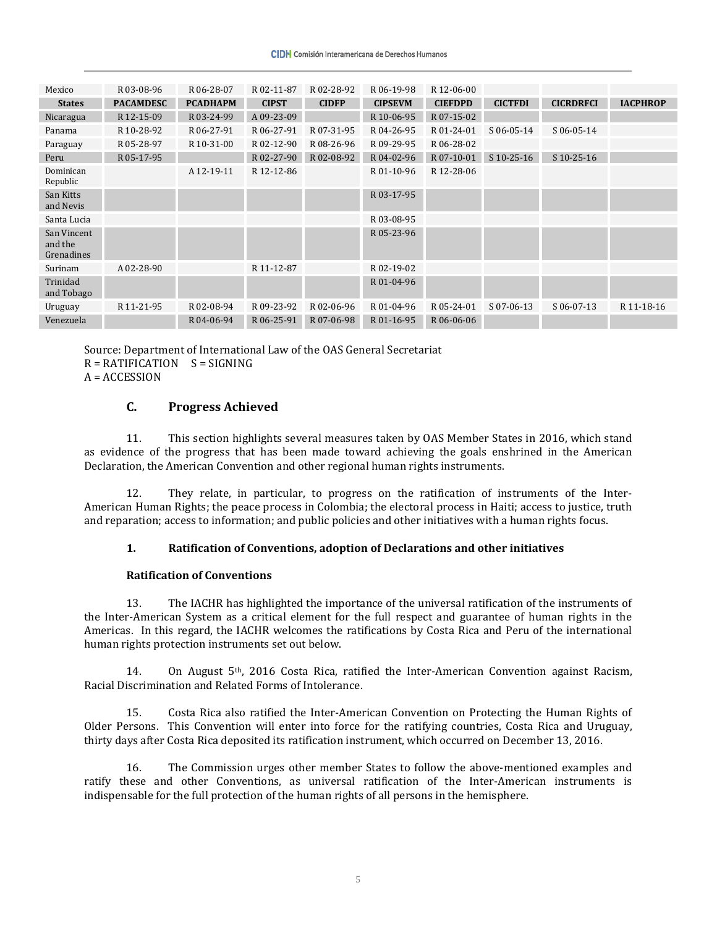| Mexico                               | R 03-08-96       | R 06-28-07      | R02-11-87    | R02-28-92    | R 06-19-98     | R 12-06-00     |                |                  |                 |
|--------------------------------------|------------------|-----------------|--------------|--------------|----------------|----------------|----------------|------------------|-----------------|
| <b>States</b>                        | <b>PACAMDESC</b> | <b>PCADHAPM</b> | <b>CIPST</b> | <b>CIDFP</b> | <b>CIPSEVM</b> | <b>CIEFDPD</b> | <b>CICTFDI</b> | <b>CICRDRFCI</b> | <b>IACPHROP</b> |
| Nicaragua                            | R 12-15-09       | R 03-24-99      | A 09-23-09   |              | R 10-06-95     | R 07-15-02     |                |                  |                 |
| Panama                               | R 10-28-92       | R 06-27-91      | R 06-27-91   | R 07-31-95   | R04-26-95      | R 01-24-01     | $S$ 06-05-14   | $S$ 06-05-14     |                 |
| Paraguay                             | R 05-28-97       | R 10-31-00      | R 02-12-90   | R08-26-96    | R 09-29-95     | R 06-28-02     |                |                  |                 |
| Peru                                 | R 05-17-95       |                 | R 02-27-90   | R02-08-92    | R04-02-96      | R 07-10-01     | $S$ 10-25-16   | $S$ 10-25-16     |                 |
| Dominican<br>Republic                |                  | A 12-19-11      | R 12-12-86   |              | R 01-10-96     | R 12-28-06     |                |                  |                 |
| San Kitts<br>and Nevis               |                  |                 |              |              | R 03-17-95     |                |                |                  |                 |
| Santa Lucia                          |                  |                 |              |              | R03-08-95      |                |                |                  |                 |
| San Vincent<br>and the<br>Grenadines |                  |                 |              |              | R 05-23-96     |                |                |                  |                 |
| Surinam                              | A 02-28-90       |                 | R 11-12-87   |              | R 02-19-02     |                |                |                  |                 |
| Trinidad<br>and Tobago               |                  |                 |              |              | R 01-04-96     |                |                |                  |                 |
| Uruguay                              | R 11-21-95       | R 02-08-94      | R 09-23-92   | R02-06-96    | R 01-04-96     | R 05-24-01     | S 07-06-13     | $S$ 06-07-13     | R 11-18-16      |
| Venezuela                            |                  | R04-06-94       | R 06-25-91   | R07-06-98    | R 01-16-95     | R 06-06-06     |                |                  |                 |

Source: Department of International Law of the OAS General Secretariat

 $R = RATIFICATION$   $S = SIGNING$ 

 $A = ACCESSION$ 

## **C. Progress Achieved**

11. This section highlights several measures taken by OAS Member States in 2016, which stand as evidence of the progress that has been made toward achieving the goals enshrined in the American Declaration, the American Convention and other regional human rights instruments.

12. They relate, in particular, to progress on the ratification of instruments of the Inter-American Human Rights; the peace process in Colombia; the electoral process in Haiti; access to justice, truth and reparation; access to information; and public policies and other initiatives with a human rights focus.

## **1. Ratification of Conventions, adoption of Declarations and other initiatives**

#### **Ratification of Conventions**

13. The IACHR has highlighted the importance of the universal ratification of the instruments of the Inter-American System as a critical element for the full respect and guarantee of human rights in the Americas. In this regard, the IACHR welcomes the ratifications by Costa Rica and Peru of the international human rights protection instruments set out below.

14. On August  $5<sup>th</sup>$ , 2016 Costa Rica, ratified the Inter-American Convention against Racism, Racial Discrimination and Related Forms of Intolerance.

15. Costa Rica also ratified the Inter-American Convention on Protecting the Human Rights of Older Persons. This Convention will enter into force for the ratifying countries, Costa Rica and Uruguay, thirty days after Costa Rica deposited its ratification instrument, which occurred on December 13, 2016.

16. The Commission urges other member States to follow the above-mentioned examples and ratify these and other Conventions, as universal ratification of the Inter-American instruments is indispensable for the full protection of the human rights of all persons in the hemisphere.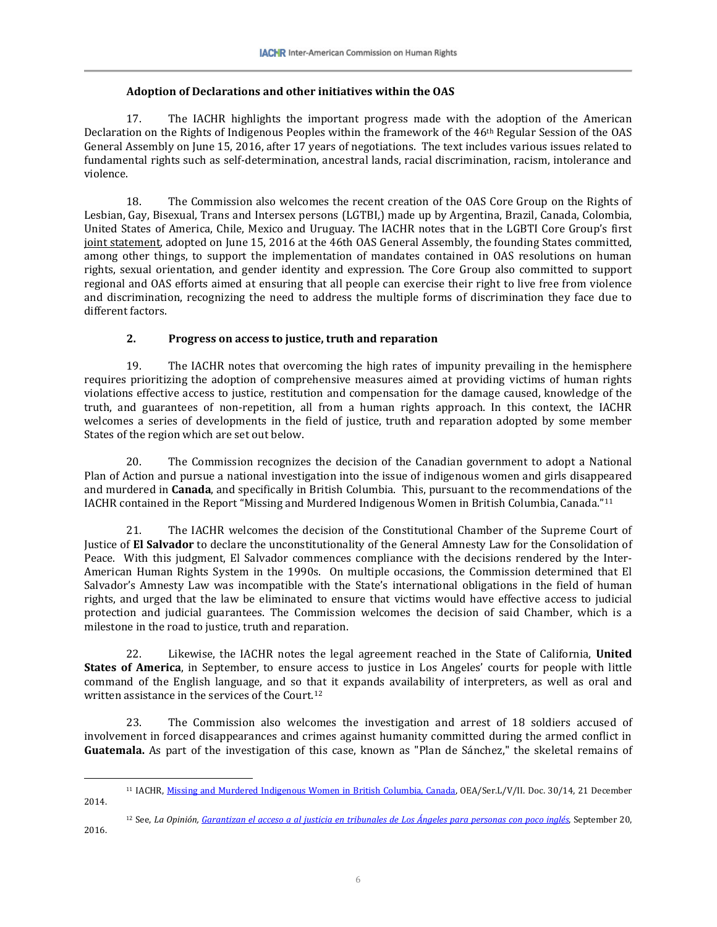## **Adoption of Declarations and other initiatives within the OAS**

17. The IACHR highlights the important progress made with the adoption of the American Declaration on the Rights of Indigenous Peoples within the framework of the 46th Regular Session of the OAS General Assembly on June 15, 2016, after 17 years of negotiations. The text includes various issues related to fundamental rights such as self-determination, ancestral lands, racial discrimination, racism, intolerance and violence.

18. The Commission also welcomes the recent creation of the OAS Core Group on the Rights of Lesbian, Gay, Bisexual, Trans and Intersex persons (LGTBI,) made up by Argentina, Brazil, Canada, Colombia, United States of America, Chile, Mexico and Uruguay. The IACHR notes that in the LGBTI Core Group's first [joint statement,](http://www.oas.org/es/cidh/lgtbi/docs/JointDeclaration-FoundingMembers-OAS-LGBTI-CoreGroup.pdf) adopted on June 15, 2016 at the 46th OAS General Assembly, the founding States committed, among other things, to support the implementation of mandates contained in OAS resolutions on human rights, sexual orientation, and gender identity and expression. The Core Group also committed to support regional and OAS efforts aimed at ensuring that all people can exercise their right to live free from violence and discrimination, recognizing the need to address the multiple forms of discrimination they face due to different factors.

## **2. Progress on access to justice, truth and reparation**

19. The IACHR notes that overcoming the high rates of impunity prevailing in the hemisphere requires prioritizing the adoption of comprehensive measures aimed at providing victims of human rights violations effective access to justice, restitution and compensation for the damage caused, knowledge of the truth, and guarantees of non-repetition, all from a human rights approach. In this context, the IACHR welcomes a series of developments in the field of justice, truth and reparation adopted by some member States of the region which are set out below.

20. The Commission recognizes the decision of the Canadian government to adopt a National Plan of Action and pursue a national investigation into the issue of indigenous women and girls disappeared and murdered in **Canada**, and specifically in British Columbia. This, pursuant to the recommendations of the IACHR contained in the Report "Missing and Murdered Indigenous Women in British Columbia, Canada."[11](#page-5-0)

21. The IACHR welcomes the decision of the Constitutional Chamber of the Supreme Court of Justice of **El Salvador** to declare the unconstitutionality of the General Amnesty Law for the Consolidation of Peace. With this judgment, El Salvador commences compliance with the decisions rendered by the Inter-American Human Rights System in the 1990s. On multiple occasions, the Commission determined that El Salvador's Amnesty Law was incompatible with the State's international obligations in the field of human rights, and urged that the law be eliminated to ensure that victims would have effective access to judicial protection and judicial guarantees. The Commission welcomes the decision of said Chamber, which is a milestone in the road to justice, truth and reparation.

22. Likewise, the IACHR notes the legal agreement reached in the State of California, **United States of America**, in September, to ensure access to justice in Los Angeles' courts for people with little command of the English language, and so that it expands availability of interpreters, as well as oral and written assistance in the services of the Court.<sup>[12](#page-5-1)</sup>

23. The Commission also welcomes the investigation and arrest of 18 soldiers accused of involvement in forced disappearances and crimes against humanity committed during the armed conflict in **Guatemala.** As part of the investigation of this case, known as "Plan de Sánchez," the skeletal remains of

<span id="page-5-0"></span> $\overline{a}$ <sup>11</sup> IACHR[, Missing and Murdered Indigenous Women in British Columbia, Canada,](http://www.oas.org/en/iachr/reports/thematic.asp) OEA/Ser.L/V/II. Doc. 30/14, 21 December 2014.

<span id="page-5-1"></span><sup>12</sup> See, *La Opinión[, Garantizan el acceso a al justicia en tribunales de Los Ángeles para personas con poco inglés](http://laopinion.com/2016/09/20/garantizan-el-acceso-a-la-justicia-en-tribunal-de-los-angeles-para-las-personas-con-poco-ingles/)*, September 20, 2016.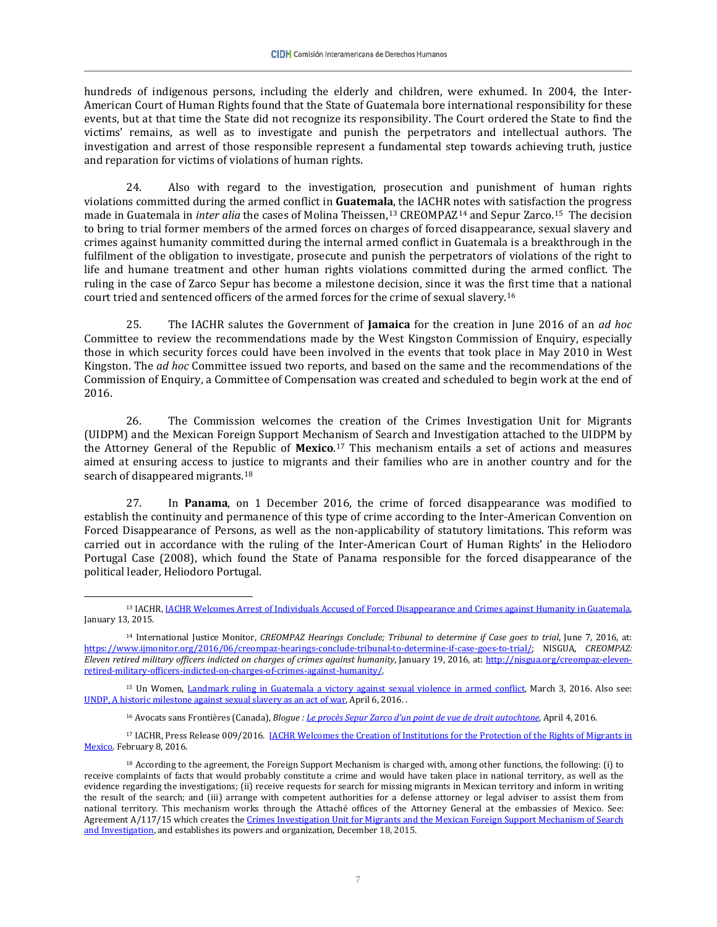hundreds of indigenous persons, including the elderly and children, were exhumed. In 2004, the Inter-American Court of Human Rights found that the State of Guatemala bore international responsibility for these events, but at that time the State did not recognize its responsibility. The Court ordered the State to find the victims' remains, as well as to investigate and punish the perpetrators and intellectual authors. The investigation and arrest of those responsible represent a fundamental step towards achieving truth, justice and reparation for victims of violations of human rights.

24. Also with regard to the investigation, prosecution and punishment of human rights violations committed during the armed conflict in **Guatemala**, the IACHR notes with satisfaction the progress made in Guatemala in *inter alia* the cases of Molina Theissen,[13](#page-6-0) CREOMPAZ[14](#page-6-1) and Sepur Zarco.[15](#page-6-2) The decision to bring to trial former members of the armed forces on charges of forced disappearance, sexual slavery and crimes against humanity committed during the internal armed conflict in Guatemala is a breakthrough in the fulfilment of the obligation to investigate, prosecute and punish the perpetrators of violations of the right to life and humane treatment and other human rights violations committed during the armed conflict. The ruling in the case of Zarco Sepur has become a milestone decision, since it was the first time that a national court tried and sentenced officers of the armed forces for the crime of sexual slavery.[16](#page-6-3)

25. The IACHR salutes the Government of **Jamaica** for the creation in June 2016 of an *ad hoc* Committee to review the recommendations made by the West Kingston Commission of Enquiry, especially those in which security forces could have been involved in the events that took place in May 2010 in West Kingston. The *ad hoc* Committee issued two reports, and based on the same and the recommendations of the Commission of Enquiry, a Committee of Compensation was created and scheduled to begin work at the end of 2016.

26. The Commission welcomes the creation of the Crimes Investigation Unit for Migrants (UIDPM) and the Mexican Foreign Support Mechanism of Search and Investigation attached to the UIDPM by the Attorney General of the Republic of **Mexico**.[17](#page-6-4) This mechanism entails a set of actions and measures aimed at ensuring access to justice to migrants and their families who are in another country and for the search of disappeared migrants.<sup>[18](#page-6-5)</sup>

27. In **Panama**, on 1 December 2016, the crime of forced disappearance was modified to establish the continuity and permanence of this type of crime according to the Inter-American Convention on Forced Disappearance of Persons, as well as the non-applicability of statutory limitations. This reform was carried out in accordance with the ruling of the Inter-American Court of Human Rights' in the Heliodoro Portugal Case (2008), which found the State of Panama responsible for the forced disappearance of the political leader, Heliodoro Portugal.

 $\overline{a}$ 

<span id="page-6-2"></span><sup>15</sup> Un Women, [Landmark ruling in Guatemala a victory against sexual violence in armed conflict,](http://www.unwomen.org/en/news/stories/2016/3/guatemala-victory-against-sexual-violence-in-armed-conflict) March 3, 2016. Also see: [UNDP, A historic milestone against sexual slavery as an act of war,](https://medium.com/@UNDP_/a-historic-milestone-against-sexual-slavery-as-an-act-of-war-f4a604c547c9#.ckt7n5y0j) April 6, 2016. .

<sup>16</sup> Avocats sans Frontières (Canada), *Blogue : [Le procès Sepur Zarco d'un point de vue de droit autochtone](http://www.asfcanada.ca/fr/blogue/billet/le-proces-sepur-zarco-d-un-point-de-vue-de-droit-autochtone/314)*, April 4, 2016.

<span id="page-6-4"></span><span id="page-6-3"></span><sup>17</sup> IACHR, Press Release 009/2016. IACHR Welcomes the Creation of Institutions for the Protection of the Rights of Migrants in Mexico</u>. February 8, 2016.

<span id="page-6-0"></span><sup>13</sup> IACHR[, IACHR Welcomes Arrest of Individuals Accused of Forced Disappearance and Crimes against](http://www.oas.org/en/iachr/media_center/PReleases/2016/001.asp) Humanity in Guatemala, January 13, 2015.

<span id="page-6-1"></span><sup>14</sup> International Justice Monitor, *CREOMPAZ Hearings Conclude; Tribunal to determine if Case goes to trial*, June 7, 2016, at: [https://www.ijmonitor.org/2016/06/creompaz-hearings-conclude-tribunal-to-determine-if-case-goes-to-trial/;](https://www.ijmonitor.org/2016/06/creompaz-hearings-conclude-tribunal-to-determine-if-case-goes-to-trial/) NISGUA, *CREOMPAZ: Eleven retired military officers indicted on charges of crimes against humanity*, January 19, 2016, at: [http://nisgua.org/creompaz-eleven](http://nisgua.org/creompaz-eleven-retired-military-officers-indicted-on-charges-of-crimes-against-humanity/)[retired-military-officers-indicted-on-charges-of-crimes-against-humanity/.](http://nisgua.org/creompaz-eleven-retired-military-officers-indicted-on-charges-of-crimes-against-humanity/)

<span id="page-6-5"></span><sup>18</sup> According to the agreement, the Foreign Support Mechanism is charged with, among other functions, the following: (i) to receive complaints of facts that would probably constitute a crime and would have taken place in national territory, as well as the evidence regarding the investigations; (ii) receive requests for search for missing migrants in Mexican territory and inform in writing the result of the search; and (iii) arrange with competent authorities for a defense attorney or legal adviser to assist them from national territory. This mechanism works through the Attaché offices of the Attorney General at the embassies of Mexico. See: Agreement A/117/15 which creates th[e Crimes Investigation Unit for Migrants and the Mexican Foreign Support Mechanism of Search](http://www.dof.gob.mx/nota_detalle.php?codigo=5420681&fecha=18/12/2015)  [and Investigation,](http://www.dof.gob.mx/nota_detalle.php?codigo=5420681&fecha=18/12/2015) and establishes its powers and organization, December 18, 2015.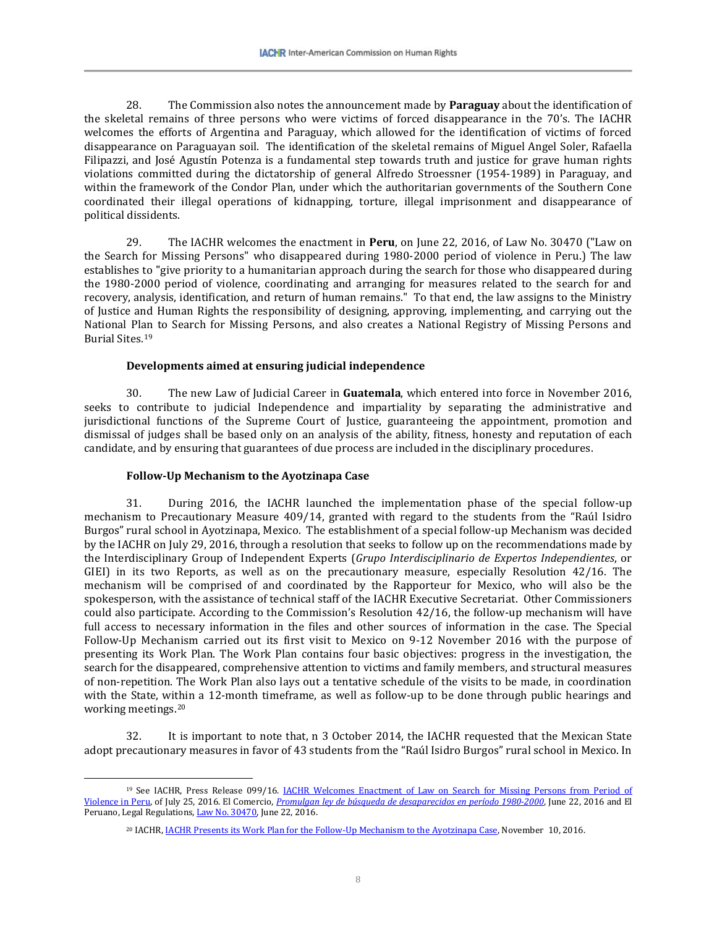28. The Commission also notes the announcement made by **Paraguay** about the identification of the skeletal remains of three persons who were victims of forced disappearance in the 70's. The IACHR welcomes the efforts of Argentina and Paraguay, which allowed for the identification of victims of forced disappearance on Paraguayan soil. The identification of the skeletal remains of Miguel Angel Soler, Rafaella Filipazzi, and José Agustín Potenza is a fundamental step towards truth and justice for grave human rights violations committed during the dictatorship of general Alfredo Stroessner (1954-1989) in Paraguay, and within the framework of the Condor Plan, under which the authoritarian governments of the Southern Cone coordinated their illegal operations of kidnapping, torture, illegal imprisonment and disappearance of political dissidents.

29. The IACHR welcomes the enactment in **Peru**, on June 22, 2016, of Law No. 30470 ("Law on the Search for Missing Persons" who disappeared during 1980-2000 period of violence in Peru.) The law establishes to "give priority to a humanitarian approach during the search for those who disappeared during the 1980-2000 period of violence, coordinating and arranging for measures related to the search for and recovery, analysis, identification, and return of human remains." To that end, the law assigns to the Ministry of Justice and Human Rights the responsibility of designing, approving, implementing, and carrying out the National Plan to Search for Missing Persons, and also creates a National Registry of Missing Persons and Burial Sites.[19](#page-7-0)

#### **Developments aimed at ensuring judicial independence**

30. The new Law of Judicial Career in **Guatemala**, which entered into force in November 2016, seeks to contribute to judicial Independence and impartiality by separating the administrative and jurisdictional functions of the Supreme Court of Justice, guaranteeing the appointment, promotion and dismissal of judges shall be based only on an analysis of the ability, fitness, honesty and reputation of each candidate, and by ensuring that guarantees of due process are included in the disciplinary procedures.

## **Follow-Up Mechanism to the Ayotzinapa Case**

 $\overline{a}$ 

31. During 2016, the IACHR launched the implementation phase of the special follow-up mechanism to Precautionary Measure 409/14, granted with regard to the students from the "Raúl Isidro Burgos" rural school in Ayotzinapa, Mexico. The establishment of a special follow-up Mechanism was decided by the IACHR on July 29, 2016, through a resolution that seeks to follow up on the recommendations made by the Interdisciplinary Group of Independent Experts (*Grupo Interdisciplinario de Expertos Independientes*, or GIEI) in its two Reports, as well as on the precautionary measure, especially Resolution 42/16. The mechanism will be comprised of and coordinated by the Rapporteur for Mexico, who will also be the spokesperson, with the assistance of technical staff of the IACHR Executive Secretariat. Other Commissioners could also participate. According to the Commission's Resolution 42/16, the follow-up mechanism will have full access to necessary information in the files and other sources of information in the case. The Special Follow-Up Mechanism carried out its first visit to Mexico on 9-12 November 2016 with the purpose of presenting its Work Plan. The Work Plan contains four basic objectives: progress in the investigation, the search for the disappeared, comprehensive attention to victims and family members, and structural measures of non-repetition. The Work Plan also lays out a tentative schedule of the visits to be made, in coordination with the State, within a 12-month timeframe, as well as follow-up to be done through public hearings and working meetings.[20](#page-7-1)

32. It is important to note that, n 3 October 2014, the IACHR requested that the Mexican State adopt precautionary measures in favor of 43 students from the "Raúl Isidro Burgos" rural school in Mexico. In

<span id="page-7-1"></span><span id="page-7-0"></span><sup>&</sup>lt;sup>19</sup> See IACHR, Press Release 099/16. IACHR Welcomes Enactment of Law on Search for Missing Persons from Period of [Violence in Peru,](http://www.oas.org/en/iachr/media_center/PReleases/2016/099.asp) of July 25, 2016. El Comercio, *[Promulgan ley de búsqueda de desaparecidos en período 1980-2000](http://elcomercio.pe/politica/gobierno/promulgan-ley-busqueda-desaparecidos-periodo-1980-2000-noticia-1911195)*, June 22, 2016 and El Peruano, Legal Regulations[, Law No. 30470,](http://tbinternet.ohchr.org/Treaties/CED/Shared%20Documents/PER/INT_CED_ADR_PER_25074_S.pdf) June 22, 2016.

<sup>&</sup>lt;sup>20</sup> IACHR, <u>IACHR Presents its Work Plan for the Follow-Up Mechanism to the Avotzinapa Case</u>, November 10, 2016.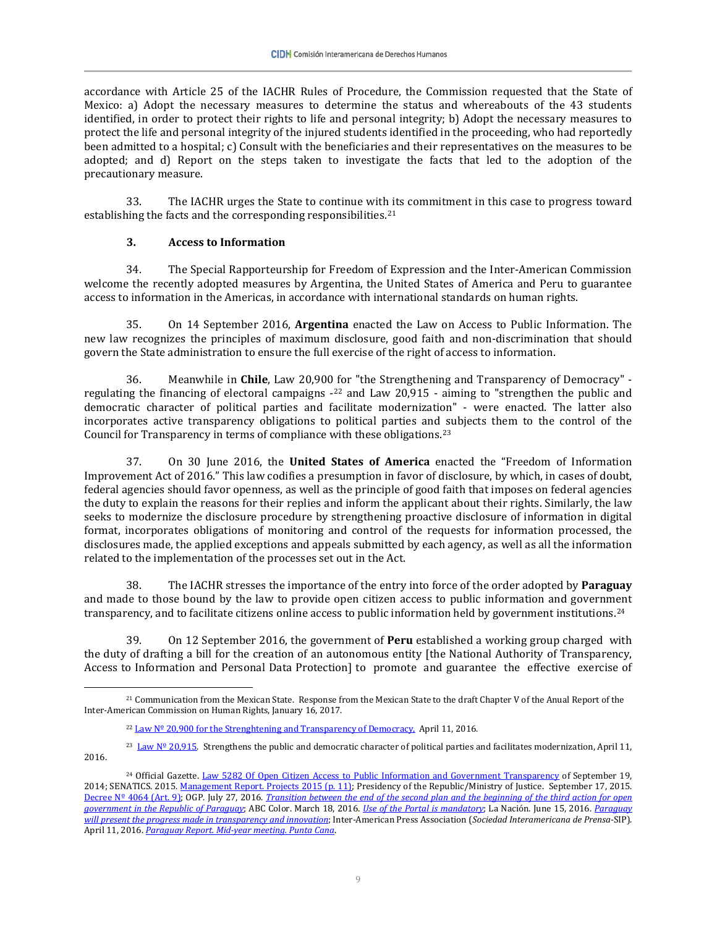accordance with Article 25 of the IACHR Rules of Procedure, the Commission requested that the State of Mexico: a) Adopt the necessary measures to determine the status and whereabouts of the 43 students identified, in order to protect their rights to life and personal integrity; b) Adopt the necessary measures to protect the life and personal integrity of the injured students identified in the proceeding, who had reportedly been admitted to a hospital; c) Consult with the beneficiaries and their representatives on the measures to be adopted; and d) Report on the steps taken to investigate the facts that led to the adoption of the precautionary measure.

33. The IACHR urges the State to continue with its commitment in this case to progress toward establishing the facts and the corresponding responsibilities.<sup>[21](#page-8-0)</sup>

## **3. Access to Information**

34. The Special Rapporteurship for Freedom of Expression and the Inter-American Commission welcome the recently adopted measures by Argentina, the United States of America and Peru to guarantee access to information in the Americas, in accordance with international standards on human rights.

35. On 14 September 2016, **Argentina** enacted the Law on Access to Public Information. The new law recognizes the principles of maximum disclosure, good faith and non-discrimination that should govern the State administration to ensure the full exercise of the right of access to information.

36. Meanwhile in **Chile**, Law 20,900 for "the Strengthening and Transparency of Democracy" regulating the financing of electoral campaigns [-22](#page-8-1) and Law 20,915 - aiming to "strengthen the public and democratic character of political parties and facilitate modernization" - were enacted. The latter also incorporates active transparency obligations to political parties and [su](#page-8-2)bjects them to the control of the Council for Transparency in terms of compliance with these obligations.23

37. On 30 June 2016, the **United States of America** enacted the "Freedom of Information Improvement Act of 2016." This law codifies a presumption in favor of disclosure, by which, in cases of doubt, federal agencies should favor openness, as well as the principle of good faith that imposes on federal agencies the duty to explain the reasons for their replies and inform the applicant about their rights. Similarly, the law seeks to modernize the disclosure procedure by strengthening proactive disclosure of information in digital format, incorporates obligations of monitoring and control of the requests for information processed, the disclosures made, the applied exceptions and appeals submitted by each agency, as well as all the information related to the implementation of the processes set out in the Act.

38. The IACHR stresses the importance of the entry into force of the order adopted by **Paraguay** and made to those bound by the law to provide open citizen access to public information and government transparency, and to facilitate citizens online access to public information held by government institutions.[24](#page-8-3)

39. On 12 September 2016, the government of **Peru** established a working group charged with the duty of drafting a bill for the creation of an autonomous entity [the National Authority of Transparency, Access to Information and Personal Data Protection] to promote and guarantee the effective exercise of

<span id="page-8-0"></span> $\overline{a}$ <sup>21</sup> Communication from the Mexican State. Response from the Mexican State to the draft Chapter V of the Anual Report of the Inter-American Commission on Human Rights, January 16, 2017.

 $22$  Law  $N<sup>o</sup>$  20,900 for the Strenghtening and Transparency of Democracy, April 11, 2016.

<span id="page-8-2"></span><span id="page-8-1"></span><sup>&</sup>lt;sup>23</sup> Law Nº 20.915. Strengthens the public and democratic character of political parties and facilitates modernization, April 11, 2016.

<span id="page-8-3"></span><sup>&</sup>lt;sup>24</sup> Official Gazette[. Law 5282 Of Open Citizen Access to Public Information and Government](http://informacionpublica.paraguay.gov.py/public/ley_5282.pdf) Transparency of September 19, 2014; SENATICS. 2015. [Management Report. Projects 2015 \(p. 11\);](https://www.senatics.gov.py/application/files/7114/6368/0121/SENATICS.pdf) Presidency of the Republic/Ministry of Justice. September 17, 2015. [Decree Nº 4064 \(Art. 9\);](http://www.snna.gov.py/archivos/documentos/DECRETO%204064_xe6m23p8.pdf) OGP. July 27, 2016. *[Transition between the end of the second plan and the beginning of the third action for open](http://www.opengovpartnership.org/blog/ogp-webmaster/2016/07/26/transici%C3%B3n-entre-la-finalizaci%C3%B3n-del-segundo-plan-y-el-inicio-del)  [government in the Republic of Paraguay](http://www.opengovpartnership.org/blog/ogp-webmaster/2016/07/26/transici%C3%B3n-entre-la-finalizaci%C3%B3n-del-segundo-plan-y-el-inicio-del)*; ABC Color. March 18, 2016. *[Use of the Portal is mandatory](http://www.abc.com.py/nacionales/desde-hoy-uso-obligatorio-1463183.html)*; La Nación. June 15, 2016. *[Paraguay](http://www.lanacion.com.py/2016/06/15/paraguay-presentara-avances-en-transparencia-e-innovacion/)  [will present the progress made in transparency and innovation](http://www.lanacion.com.py/2016/06/15/paraguay-presentara-avances-en-transparencia-e-innovacion/)*; Inter-American Press Association (*Sociedad Interamericana de Prensa*-SIP). April 11, 2016. *[Paraguay Report. Mid-year meeting. Punta Cana](http://www.sipiapa.org/notas/1210067-paraguay)*.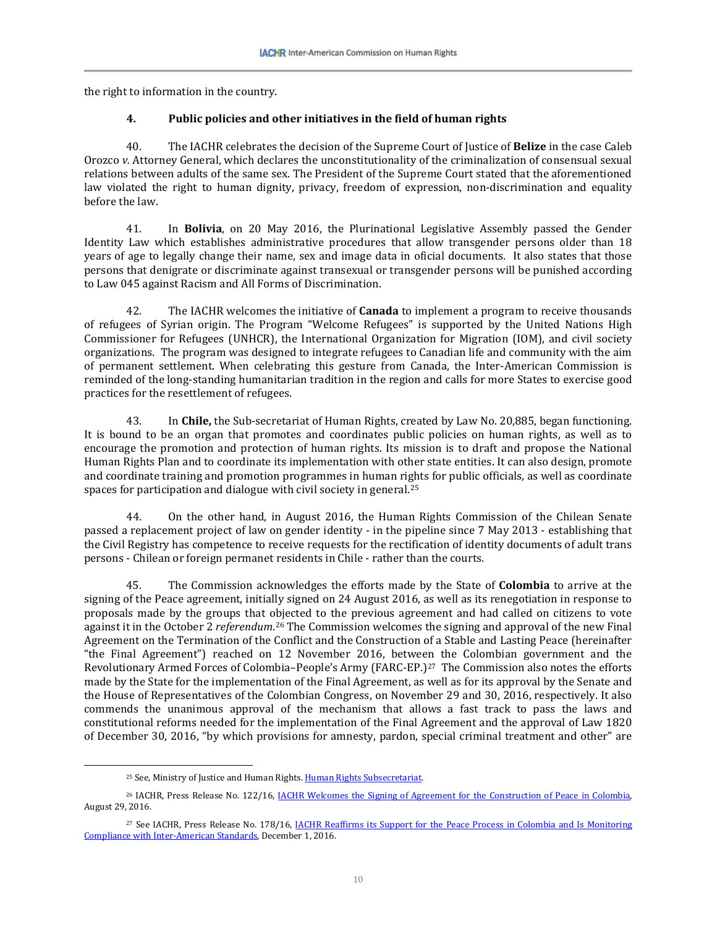the right to information in the country.

## **4. Public policies and other initiatives in the field of human rights**

40. The IACHR celebrates the decision of the Supreme Court of Justice of **Belize** in the case Caleb Orozco *v.* Attorney General, which declares the unconstitutionality of the criminalization of consensual sexual relations between adults of the same sex. The President of the Supreme Court stated that the aforementioned law violated the right to human dignity, privacy, freedom of expression, non-discrimination and equality before the law.

41. In **Bolivia**, on 20 May 2016, the Plurinational Legislative Assembly passed the Gender Identity Law which establishes administrative procedures that allow transgender persons older than 18 years of age to legally change their name, sex and image data in oficial documents. It also states that those persons that denigrate or discriminate against transexual or transgender persons will be punished according to Law 045 against Racism and All Forms of Discrimination.

42. The IACHR welcomes the initiative of **Canada** to implement a program to receive thousands of refugees of Syrian origin. The Program "Welcome Refugees" is supported by the United Nations High Commissioner for Refugees (UNHCR), the International Organization for Migration (IOM), and civil society organizations. The program was designed to integrate refugees to Canadian life and community with the aim of permanent settlement. When celebrating this gesture from Canada, the Inter-American Commission is reminded of the long-standing humanitarian tradition in the region and calls for more States to exercise good practices for the resettlement of refugees.

43. In **Chile,** the Sub-secretariat of Human Rights, created by Law No. 20,885, began functioning. It is bound to be an organ that promotes and coordinates public policies on human rights, as well as to encourage the promotion and protection of human rights. Its mission is to draft and propose the National Human Rights Plan and to coordinate its implementation with other state entities. It can also design, promote and coordinate training and promotion programmes in human ri[gh](#page-9-0)ts for public officials, as well as coordinate spaces for participation and dialogue with civil society in general. 25

44. On the other hand, in August 2016, the Human Rights Commission of the Chilean Senate passed a replacement project of law on gender identity - in the pipeline since 7 May 2013 - establishing that the Civil Registry has competence to receive requests for the rectification of identity documents of adult trans persons - Chilean or foreign permanet residents in Chile - rather than the courts.

45. The Commission acknowledges the efforts made by the State of **Colombia** to arrive at the signing of the Peace agreement, initially signed on 24 August 2016, as well as its renegotiation in response to proposals made by the groups that objected to the previous agreement and had called on citizens to vote against it in the October 2 *referendum*.[26](#page-9-1) The Commission welcomes the signing and approval of the new Final Agreement on the Termination of the Conflict and the Construction of a Stable and Lasting Peace (hereinafter "the Final Agreement") reached on 12 November 2016, between the Colombian government and the Revolutionary Armed Forces of Colombia–People's Army (FARC-EP.[\)27](#page-9-2) The Commission also notes the efforts made by the State for the implementation of the Final Agreement, as well as for its approval by the Senate and the House of Representatives of the Colombian Congress, on November 29 and 30, 2016, respectively. It also commends the unanimous approval of the mechanism that allows a fast track to pass the laws and constitutional reforms needed for the implementation of the Final Agreement and the approval of Law 1820 of December 30, 2016, "by which provisions for amnesty, pardon, special criminal treatment and other" are

 $\overline{a}$ 

<sup>&</sup>lt;sup>25</sup> See, Ministry of Justice and Human Rights[. Human Rights Subsecretariat.](http://www.minjusticia.gob.cl/subsecretaria-de-derechos-humanos/)

<span id="page-9-1"></span><span id="page-9-0"></span><sup>&</sup>lt;sup>26</sup> IACHR, Press Release No. 122/16, <u>IACHR Welcomes the Signing of Agreement for the Construction of Peace in Colombia</u>, August 29, 2016.

<span id="page-9-2"></span><sup>&</sup>lt;sup>27</sup> See IACHR, Press Release No. 178/16, IACHR Reaffirms its Support for the Peace Process in Colombia and Is Monitoring [Compliance with Inter-American Standards,](http://www.oas.org/en/iachr/media_center/PReleases/2016/178.asp) December 1, 2016.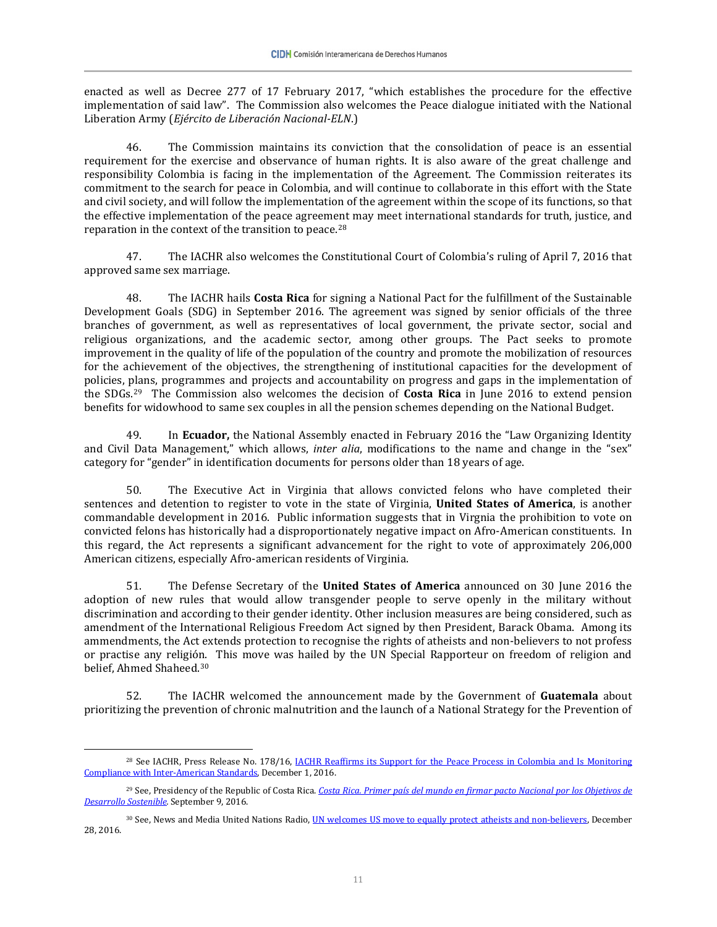enacted as well as Decree 277 of 17 February 2017, "which establishes the procedure for the effective implementation of said law". The Commission also welcomes the Peace dialogue initiated with the National Liberation Army (*Ejército de Liberación Nacional-ELN*.)

46. The Commission maintains its conviction that the consolidation of peace is an essential requirement for the exercise and observance of human rights. It is also aware of the great challenge and responsibility Colombia is facing in the implementation of the Agreement. The Commission reiterates its commitment to the search for peace in Colombia, and will continue to collaborate in this effort with the State and civil society, and will follow the implementation of the agreement within the scope of its functions, so that the effective implementation of the peace agreement may meet international standards for truth, justice, and reparation in the context of the transition to peace.[28](#page-10-0)

47. The IACHR also welcomes the Constitutional Court of Colombia's ruling of April 7, 2016 that approved same sex marriage.

48. The IACHR hails **Costa Rica** for signing a National Pact for the fulfillment of the Sustainable Development Goals (SDG) in September 2016. The agreement was signed by senior officials of the three branches of government, as well as representatives of local government, the private sector, social and religious organizations, and the academic sector, among other groups. The Pact seeks to promote improvement in the quality of life of the population of the country and promote the mobilization of resources for the achievement of the objectives, the strengthening of institutional capacities for the development of policies, plans, programmes and projects and accountability on progress and gaps in the implementation of the SDGs.[29](#page-10-1) The Commission also welcomes the decision of **Costa Rica** in June 2016 to extend pension benefits for widowhood to same sex couples in all the pension schemes depending on the National Budget.

49. In **Ecuador,** the National Assembly enacted in February 2016 the "Law Organizing Identity and Civil Data Management," which allows, *inter alia*, modifications to the name and change in the "sex" category for "gender" in identification documents for persons older than 18 years of age.

50. The Executive Act in Virginia that allows convicted felons who have completed their sentences and detention to register to vote in the state of Virginia, **United States of America**, is another commandable development in 2016. Public information suggests that in Virgnia the prohibition to vote on convicted felons has historically had a disproportionately negative impact on Afro-American constituents. In this regard, the Act represents a significant advancement for the right to vote of approximately 206,000 American citizens, especially Afro-american residents of Virginia.

51. The Defense Secretary of the **United States of America** announced on 30 June 2016 the adoption of new rules that would allow transgender people to serve openly in the military without discrimination and according to their gender identity. Other inclusion measures are being considered, such as amendment of the International Religious Freedom Act signed by then President, Barack Obama. Among its ammendments, the Act extends protection to recognise the rights of atheists and non-believers to not profess or practise any religión. This move was hailed by the UN Special Rapporteur on freedom of religion and belief, Ahmed Shaheed.[30](#page-10-2)

52. The IACHR welcomed the announcement made by the Government of **Guatemala** about prioritizing the prevention of chronic malnutrition and the launch of a National Strategy for the Prevention of

 $\overline{a}$ 

<span id="page-10-0"></span><sup>&</sup>lt;sup>28</sup> See IACHR, Press Release No. 178/16, IACHR Reaffirms its Support for the Peace Process in Colombia and Is Monitoring [Compliance with Inter-American Standards,](http://www.oas.org/en/iachr/media_center/PReleases/2016/178.asp) December 1, 2016.

<span id="page-10-1"></span><sup>29</sup> See, Presidency of the Republic of Costa Rica. *[Costa Rica. Primer país del mundo en firmar pacto Nacional por los Objetivos de](http://presidencia.go.cr/comunicados/2016/09/costa-rica-primer-pais-del-mundo-en-firmar-pacto-nacional-por-los-objetivos-de-desarrollo-sostenible/)  [Desarrollo Sostenible.](http://presidencia.go.cr/comunicados/2016/09/costa-rica-primer-pais-del-mundo-en-firmar-pacto-nacional-por-los-objetivos-de-desarrollo-sostenible/)* September 9, 2016.

<span id="page-10-2"></span><sup>30</sup> See, News and Media United Nations Radio, [UN welcomes US move to equally protect atheists and non-believers,](http://www.unmultimedia.org/radio/english/2016/12/news-in-brief-28-december-pm/#.WMNDyYWcHW0) December 28, 2016.